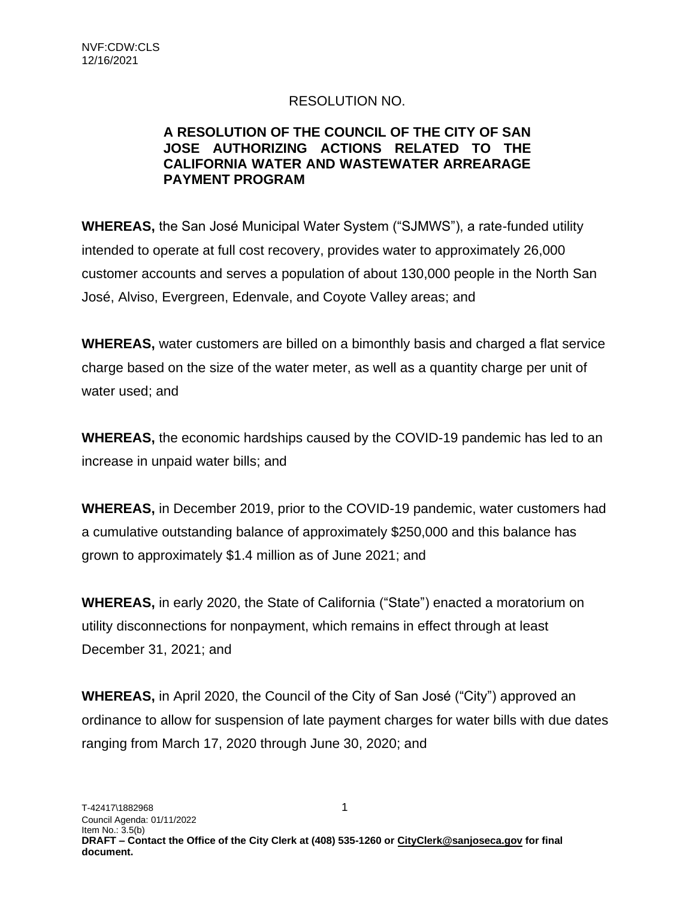## RESOLUTION NO.

## **A RESOLUTION OF THE COUNCIL OF THE CITY OF SAN JOSE AUTHORIZING ACTIONS RELATED TO THE CALIFORNIA WATER AND WASTEWATER ARREARAGE PAYMENT PROGRAM**

**WHEREAS,** the San José Municipal Water System ("SJMWS"), a rate-funded utility intended to operate at full cost recovery, provides water to approximately 26,000 customer accounts and serves a population of about 130,000 people in the North San José, Alviso, Evergreen, Edenvale, and Coyote Valley areas; and

**WHEREAS,** water customers are billed on a bimonthly basis and charged a flat service charge based on the size of the water meter, as well as a quantity charge per unit of water used; and

**WHEREAS,** the economic hardships caused by the COVID-19 pandemic has led to an increase in unpaid water bills; and

**WHEREAS,** in December 2019, prior to the COVID-19 pandemic, water customers had a cumulative outstanding balance of approximately \$250,000 and this balance has grown to approximately \$1.4 million as of June 2021; and

**WHEREAS,** in early 2020, the State of California ("State") enacted a moratorium on utility disconnections for nonpayment, which remains in effect through at least December 31, 2021; and

**WHEREAS,** in April 2020, the Council of the City of San José ("City") approved an ordinance to allow for suspension of late payment charges for water bills with due dates ranging from March 17, 2020 through June 30, 2020; and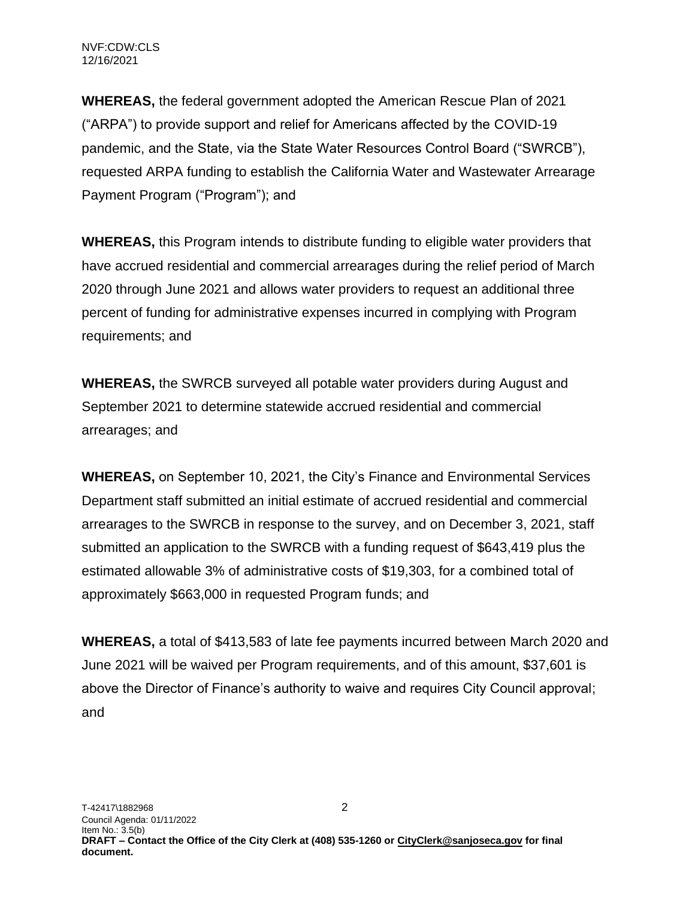NVF:CDW:CLS 12/16/2021

**WHEREAS,** the federal government adopted the American Rescue Plan of 2021 ("ARPA") to provide support and relief for Americans affected by the COVID-19 pandemic, and the State, via the State Water Resources Control Board ("SWRCB"), requested ARPA funding to establish the California Water and Wastewater Arrearage Payment Program ("Program"); and

**WHEREAS,** this Program intends to distribute funding to eligible water providers that have accrued residential and commercial arrearages during the relief period of March 2020 through June 2021 and allows water providers to request an additional three percent of funding for administrative expenses incurred in complying with Program requirements; and

**WHEREAS,** the SWRCB surveyed all potable water providers during August and September 2021 to determine statewide accrued residential and commercial arrearages; and

**WHEREAS,** on September 10, 2021, the City's Finance and Environmental Services Department staff submitted an initial estimate of accrued residential and commercial arrearages to the SWRCB in response to the survey, and on December 3, 2021, staff submitted an application to the SWRCB with a funding request of \$643,419 plus the estimated allowable 3% of administrative costs of \$19,303, for a combined total of approximately \$663,000 in requested Program funds; and

**WHEREAS,** a total of \$413,583 of late fee payments incurred between March 2020 and June 2021 will be waived per Program requirements, and of this amount, \$37,601 is above the Director of Finance's authority to waive and requires City Council approval; and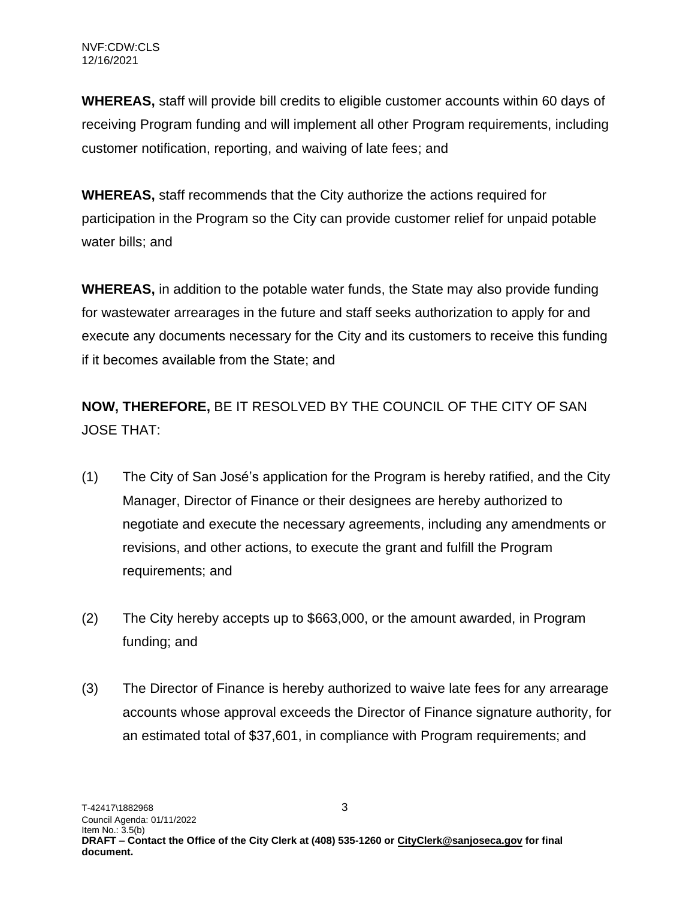**WHEREAS,** staff will provide bill credits to eligible customer accounts within 60 days of receiving Program funding and will implement all other Program requirements, including customer notification, reporting, and waiving of late fees; and

**WHEREAS,** staff recommends that the City authorize the actions required for participation in the Program so the City can provide customer relief for unpaid potable water bills; and

**WHEREAS,** in addition to the potable water funds, the State may also provide funding for wastewater arrearages in the future and staff seeks authorization to apply for and execute any documents necessary for the City and its customers to receive this funding if it becomes available from the State; and

**NOW, THEREFORE,** BE IT RESOLVED BY THE COUNCIL OF THE CITY OF SAN JOSE THAT:

- (1) The City of San José's application for the Program is hereby ratified, and the City Manager, Director of Finance or their designees are hereby authorized to negotiate and execute the necessary agreements, including any amendments or revisions, and other actions, to execute the grant and fulfill the Program requirements; and
- (2) The City hereby accepts up to \$663,000, or the amount awarded, in Program funding; and
- (3) The Director of Finance is hereby authorized to waive late fees for any arrearage accounts whose approval exceeds the Director of Finance signature authority, for an estimated total of \$37,601, in compliance with Program requirements; and